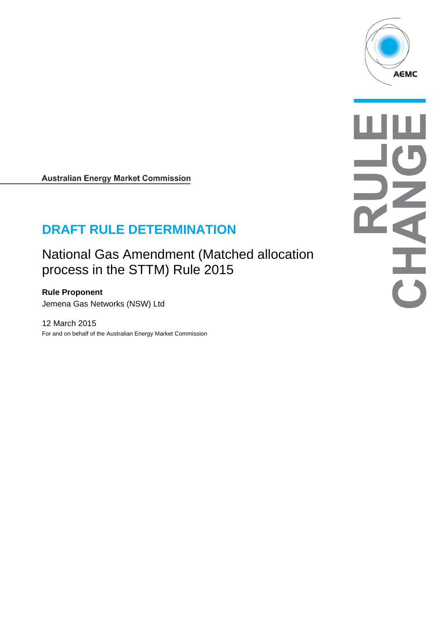

### **Australian Energy Market Commission**

# **DRAFT RULE DETERMINATION**

National Gas Amendment (Matched allocation process in the STTM) Rule 2015

**Rule Proponent**  Jemena Gas Networks (NSW) Ltd

12 March 2015 For and on behalf of the Australian Energy Market Commission AHAHO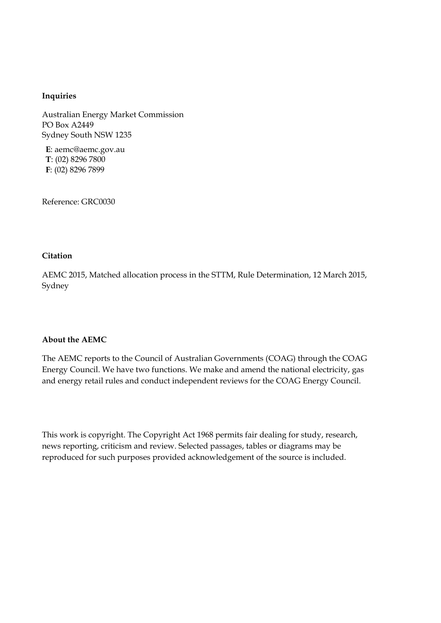#### **Inquiries**

Australian Energy Market Commission PO Box A2449 Sydney South NSW 1235

**E**: aemc@aemc.gov.au **T**: (02) 8296 7800 **F**: (02) 8296 7899

Reference: GRC0030

#### **Citation**

AEMC 2015, Matched allocation process in the STTM, Rule Determination, 12 March 2015, Sydney

#### **About the AEMC**

The AEMC reports to the Council of Australian Governments (COAG) through the COAG Energy Council. We have two functions. We make and amend the national electricity, gas and energy retail rules and conduct independent reviews for the COAG Energy Council.

This work is copyright. The Copyright Act 1968 permits fair dealing for study, research, news reporting, criticism and review. Selected passages, tables or diagrams may be reproduced for such purposes provided acknowledgement of the source is included.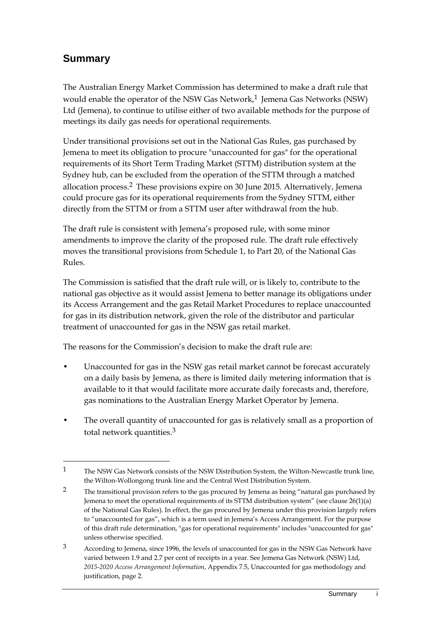## **Summary**

1

The Australian Energy Market Commission has determined to make a draft rule that would enable the operator of the NSW Gas Network, $1$  Jemena Gas Networks (NSW) Ltd (Jemena), to continue to utilise either of two available methods for the purpose of meetings its daily gas needs for operational requirements.

Under transitional provisions set out in the National Gas Rules, gas purchased by Jemena to meet its obligation to procure "unaccounted for gas" for the operational requirements of its Short Term Trading Market (STTM) distribution system at the Sydney hub, can be excluded from the operation of the STTM through a matched allocation process.2 These provisions expire on 30 June 2015. Alternatively, Jemena could procure gas for its operational requirements from the Sydney STTM, either directly from the STTM or from a STTM user after withdrawal from the hub.

The draft rule is consistent with Jemena's proposed rule, with some minor amendments to improve the clarity of the proposed rule. The draft rule effectively moves the transitional provisions from Schedule 1, to Part 20, of the National Gas Rules.

The Commission is satisfied that the draft rule will, or is likely to, contribute to the national gas objective as it would assist Jemena to better manage its obligations under its Access Arrangement and the gas Retail Market Procedures to replace unaccounted for gas in its distribution network, given the role of the distributor and particular treatment of unaccounted for gas in the NSW gas retail market.

The reasons for the Commission's decision to make the draft rule are:

- Unaccounted for gas in the NSW gas retail market cannot be forecast accurately on a daily basis by Jemena, as there is limited daily metering information that is available to it that would facilitate more accurate daily forecasts and, therefore, gas nominations to the Australian Energy Market Operator by Jemena.
- The overall quantity of unaccounted for gas is relatively small as a proportion of total network quantities.3

<sup>1</sup> The NSW Gas Network consists of the NSW Distribution System, the Wilton-Newcastle trunk line, the Wilton-Wollongong trunk line and the Central West Distribution System.

<sup>&</sup>lt;sup>2</sup> The transitional provision refers to the gas procured by Jemena as being "natural gas purchased by Jemena to meet the operational requirements of its STTM distribution system" (see clause  $26(1)(a)$ ) of the National Gas Rules). In effect, the gas procured by Jemena under this provision largely refers to "unaccounted for gas", which is a term used in Jemena's Access Arrangement. For the purpose of this draft rule determination, "gas for operational requirements" includes "unaccounted for gas" unless otherwise specified.

<sup>3</sup> According to Jemena, since 1996, the levels of unaccounted for gas in the NSW Gas Network have varied between 1.9 and 2.7 per cent of receipts in a year. See Jemena Gas Network (NSW) Ltd, *2015-2020 Access Arrangement Information*, Appendix 7.5, Unaccounted for gas methodology and justification, page 2.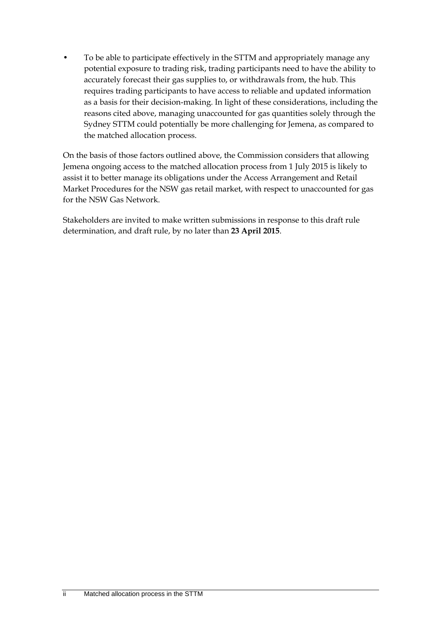• To be able to participate effectively in the STTM and appropriately manage any potential exposure to trading risk, trading participants need to have the ability to accurately forecast their gas supplies to, or withdrawals from, the hub. This requires trading participants to have access to reliable and updated information as a basis for their decision-making. In light of these considerations, including the reasons cited above, managing unaccounted for gas quantities solely through the Sydney STTM could potentially be more challenging for Jemena, as compared to the matched allocation process.

On the basis of those factors outlined above, the Commission considers that allowing Jemena ongoing access to the matched allocation process from 1 July 2015 is likely to assist it to better manage its obligations under the Access Arrangement and Retail Market Procedures for the NSW gas retail market, with respect to unaccounted for gas for the NSW Gas Network.

Stakeholders are invited to make written submissions in response to this draft rule determination, and draft rule, by no later than **23 April 2015**.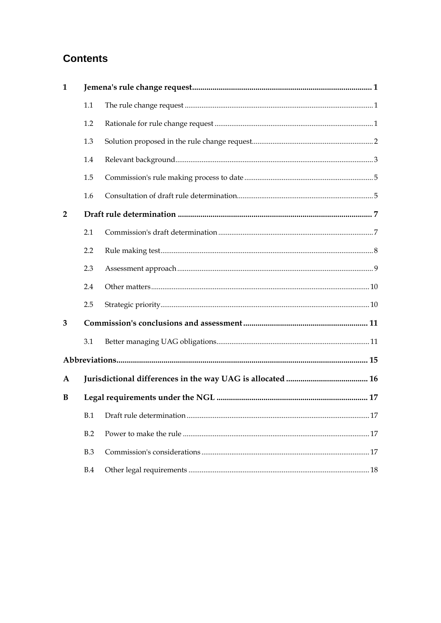## **Contents**

| 1              |     |  |  |  |
|----------------|-----|--|--|--|
|                | 1.1 |  |  |  |
|                | 1.2 |  |  |  |
|                | 1.3 |  |  |  |
|                | 1.4 |  |  |  |
|                | 1.5 |  |  |  |
|                | 1.6 |  |  |  |
| $\overline{2}$ |     |  |  |  |
|                | 2.1 |  |  |  |
|                | 2.2 |  |  |  |
|                | 2.3 |  |  |  |
|                | 2.4 |  |  |  |
|                | 2.5 |  |  |  |
| 3              |     |  |  |  |
|                | 3.1 |  |  |  |
|                |     |  |  |  |
| $\mathbf{A}$   |     |  |  |  |
| B              |     |  |  |  |
|                |     |  |  |  |
|                | B.2 |  |  |  |
|                | B.3 |  |  |  |
|                | B.4 |  |  |  |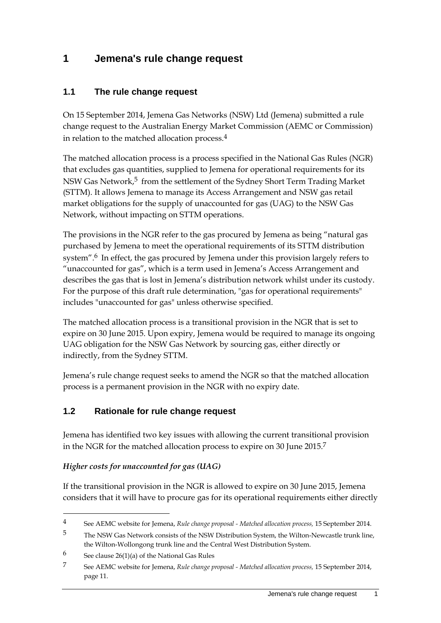## **1 Jemena's rule change request**

### **1.1 The rule change request**

On 15 September 2014, Jemena Gas Networks (NSW) Ltd (Jemena) submitted a rule change request to the Australian Energy Market Commission (AEMC or Commission) in relation to the matched allocation process.4

The matched allocation process is a process specified in the National Gas Rules (NGR) that excludes gas quantities, supplied to Jemena for operational requirements for its NSW Gas Network,<sup>5</sup> from the settlement of the Sydney Short Term Trading Market (STTM). It allows Jemena to manage its Access Arrangement and NSW gas retail market obligations for the supply of unaccounted for gas (UAG) to the NSW Gas Network, without impacting on STTM operations.

The provisions in the NGR refer to the gas procured by Jemena as being "natural gas purchased by Jemena to meet the operational requirements of its STTM distribution system".<sup>6</sup> In effect, the gas procured by Jemena under this provision largely refers to "unaccounted for gas", which is a term used in Jemena's Access Arrangement and describes the gas that is lost in Jemena's distribution network whilst under its custody. For the purpose of this draft rule determination, "gas for operational requirements" includes "unaccounted for gas" unless otherwise specified.

The matched allocation process is a transitional provision in the NGR that is set to expire on 30 June 2015. Upon expiry, Jemena would be required to manage its ongoing UAG obligation for the NSW Gas Network by sourcing gas, either directly or indirectly, from the Sydney STTM.

Jemena's rule change request seeks to amend the NGR so that the matched allocation process is a permanent provision in the NGR with no expiry date.

#### **1.2 Rationale for rule change request**

Jemena has identified two key issues with allowing the current transitional provision in the NGR for the matched allocation process to expire on 30 June 2015.7

#### *Higher costs for unaccounted for gas (UAG)*

If the transitional provision in the NGR is allowed to expire on 30 June 2015, Jemena considers that it will have to procure gas for its operational requirements either directly

<sup>4</sup> See AEMC website for Jemena, *Rule change proposal - Matched allocation process,* 15 September 2014.

<sup>5</sup> The NSW Gas Network consists of the NSW Distribution System, the Wilton-Newcastle trunk line, the Wilton-Wollongong trunk line and the Central West Distribution System.

<sup>6</sup> See clause  $26(1)(a)$  of the National Gas Rules

<sup>7</sup> See AEMC website for Jemena, *Rule change proposal - Matched allocation process,* 15 September 2014, page 11.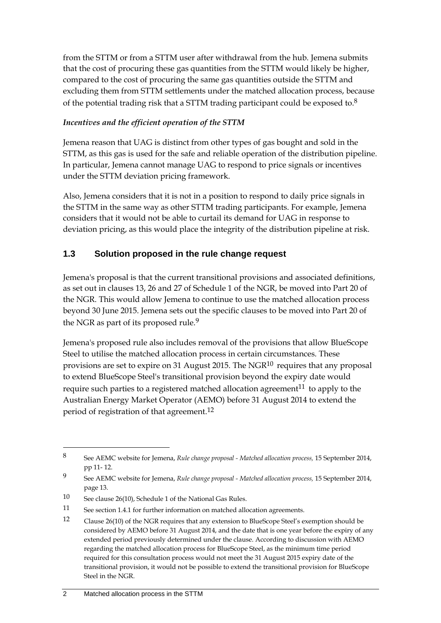from the STTM or from a STTM user after withdrawal from the hub. Jemena submits that the cost of procuring these gas quantities from the STTM would likely be higher, compared to the cost of procuring the same gas quantities outside the STTM and excluding them from STTM settlements under the matched allocation process, because of the potential trading risk that a STTM trading participant could be exposed to.8

#### *Incentives and the efficient operation of the STTM*

Jemena reason that UAG is distinct from other types of gas bought and sold in the STTM, as this gas is used for the safe and reliable operation of the distribution pipeline. In particular, Jemena cannot manage UAG to respond to price signals or incentives under the STTM deviation pricing framework.

Also, Jemena considers that it is not in a position to respond to daily price signals in the STTM in the same way as other STTM trading participants. For example, Jemena considers that it would not be able to curtail its demand for UAG in response to deviation pricing, as this would place the integrity of the distribution pipeline at risk.

### **1.3 Solution proposed in the rule change request**

Jemena's proposal is that the current transitional provisions and associated definitions, as set out in clauses 13, 26 and 27 of Schedule 1 of the NGR, be moved into Part 20 of the NGR. This would allow Jemena to continue to use the matched allocation process beyond 30 June 2015. Jemena sets out the specific clauses to be moved into Part 20 of the NGR as part of its proposed rule.<sup>9</sup>

Jemena's proposed rule also includes removal of the provisions that allow BlueScope Steel to utilise the matched allocation process in certain circumstances. These provisions are set to expire on 31 August 2015. The NGR10 requires that any proposal to extend BlueScope Steel's transitional provision beyond the expiry date would require such parties to a registered matched allocation agreement $^{11}$  to apply to the Australian Energy Market Operator (AEMO) before 31 August 2014 to extend the period of registration of that agreement.12

<u>.</u>

<sup>8</sup> See AEMC website for Jemena, *Rule change proposal - Matched allocation process,* 15 September 2014, pp 11- 12.

<sup>9</sup> See AEMC website for Jemena, *Rule change proposal - Matched allocation process,* 15 September 2014, page 13.

<sup>10</sup> See clause 26(10), Schedule 1 of the National Gas Rules.

<sup>11</sup> See section 1.4.1 for further information on matched allocation agreements.

<sup>12</sup> Clause 26(10) of the NGR requires that any extension to BlueScope Steel's exemption should be considered by AEMO before 31 August 2014, and the date that is one year before the expiry of any extended period previously determined under the clause. According to discussion with AEMO regarding the matched allocation process for BlueScope Steel, as the minimum time period required for this consultation process would not meet the 31 August 2015 expiry date of the transitional provision, it would not be possible to extend the transitional provision for BlueScope Steel in the NGR.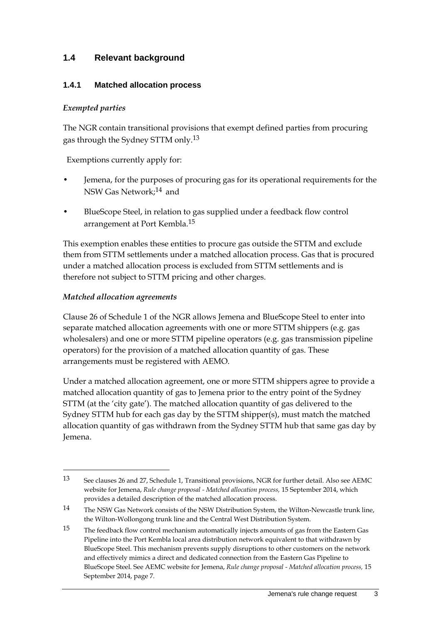### **1.4 Relevant background**

#### **1.4.1 Matched allocation process**

#### *Exempted parties*

The NGR contain transitional provisions that exempt defined parties from procuring gas through the Sydney STTM only.13

Exemptions currently apply for:

- Jemena, for the purposes of procuring gas for its operational requirements for the NSW Gas Network;14 and
- BlueScope Steel, in relation to gas supplied under a feedback flow control arrangement at Port Kembla.15

This exemption enables these entities to procure gas outside the STTM and exclude them from STTM settlements under a matched allocation process. Gas that is procured under a matched allocation process is excluded from STTM settlements and is therefore not subject to STTM pricing and other charges.

#### *Matched allocation agreements*

1

Clause 26 of Schedule 1 of the NGR allows Jemena and BlueScope Steel to enter into separate matched allocation agreements with one or more STTM shippers (e.g. gas wholesalers) and one or more STTM pipeline operators (e.g. gas transmission pipeline operators) for the provision of a matched allocation quantity of gas. These arrangements must be registered with AEMO.

Under a matched allocation agreement, one or more STTM shippers agree to provide a matched allocation quantity of gas to Jemena prior to the entry point of the Sydney STTM (at the 'city gate'). The matched allocation quantity of gas delivered to the Sydney STTM hub for each gas day by the STTM shipper(s), must match the matched allocation quantity of gas withdrawn from the Sydney STTM hub that same gas day by Jemena.

<sup>13</sup> See clauses 26 and 27, Schedule 1, Transitional provisions, NGR for further detail. Also see AEMC website for Jemena, *Rule change proposal - Matched allocation process,* 15 September 2014, which provides a detailed description of the matched allocation process.

<sup>14</sup> The NSW Gas Network consists of the NSW Distribution System, the Wilton-Newcastle trunk line, the Wilton-Wollongong trunk line and the Central West Distribution System.

<sup>15</sup> The feedback flow control mechanism automatically injects amounts of gas from the Eastern Gas Pipeline into the Port Kembla local area distribution network equivalent to that withdrawn by BlueScope Steel. This mechanism prevents supply disruptions to other customers on the network and effectively mimics a direct and dedicated connection from the Eastern Gas Pipeline to BlueScope Steel. See AEMC website for Jemena, *Rule change proposal - Matched allocation process,* 15 September 2014, page 7.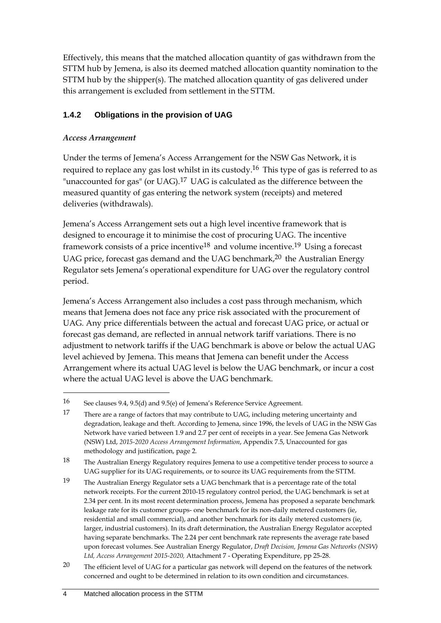Effectively, this means that the matched allocation quantity of gas withdrawn from the STTM hub by Jemena, is also its deemed matched allocation quantity nomination to the STTM hub by the shipper(s). The matched allocation quantity of gas delivered under this arrangement is excluded from settlement in the STTM.

### **1.4.2 Obligations in the provision of UAG**

### *Access Arrangement*

<u>.</u>

Under the terms of Jemena's Access Arrangement for the NSW Gas Network, it is required to replace any gas lost whilst in its custody.16 This type of gas is referred to as "unaccounted for gas" (or UAG).<sup>17</sup> UAG is calculated as the difference between the measured quantity of gas entering the network system (receipts) and metered deliveries (withdrawals).

Jemena's Access Arrangement sets out a high level incentive framework that is designed to encourage it to minimise the cost of procuring UAG. The incentive framework consists of a price incentive<sup>18</sup> and volume incentive.<sup>19</sup> Using a forecast UAG price, forecast gas demand and the UAG benchmark,<sup>20</sup> the Australian Energy Regulator sets Jemena's operational expenditure for UAG over the regulatory control period.

Jemena's Access Arrangement also includes a cost pass through mechanism, which means that Jemena does not face any price risk associated with the procurement of UAG. Any price differentials between the actual and forecast UAG price, or actual or forecast gas demand, are reflected in annual network tariff variations. There is no adjustment to network tariffs if the UAG benchmark is above or below the actual UAG level achieved by Jemena. This means that Jemena can benefit under the Access Arrangement where its actual UAG level is below the UAG benchmark, or incur a cost where the actual UAG level is above the UAG benchmark.

<sup>16</sup> See clauses 9.4, 9.5(d) and 9.5(e) of Jemena's Reference Service Agreement.

<sup>17</sup> There are a range of factors that may contribute to UAG, including metering uncertainty and degradation, leakage and theft. According to Jemena, since 1996, the levels of UAG in the NSW Gas Network have varied between 1.9 and 2.7 per cent of receipts in a year. See Jemena Gas Network (NSW) Ltd, *2015-2020 Access Arrangement Information*, Appendix 7.5, Unaccounted for gas methodology and justification, page 2.

<sup>18</sup> The Australian Energy Regulatory requires Jemena to use a competitive tender process to source a UAG supplier for its UAG requirements, or to source its UAG requirements from the STTM.

<sup>19</sup> The Australian Energy Regulator sets a UAG benchmark that is a percentage rate of the total network receipts. For the current 2010-15 regulatory control period, the UAG benchmark is set at 2.34 per cent. In its most recent determination process, Jemena has proposed a separate benchmark leakage rate for its customer groups- one benchmark for its non-daily metered customers (ie, residential and small commercial), and another benchmark for its daily metered customers (ie, larger, industrial customers). In its draft determination, the Australian Energy Regulator accepted having separate benchmarks. The 2.24 per cent benchmark rate represents the average rate based upon forecast volumes. See Australian Energy Regulator, *Draft Decision, Jemena Gas Networks (NSW) Ltd, Access Arrangement 2015-2020,* Attachment 7 - Operating Expenditure, pp 25-28.

<sup>20</sup> The efficient level of UAG for a particular gas network will depend on the features of the network concerned and ought to be determined in relation to its own condition and circumstances.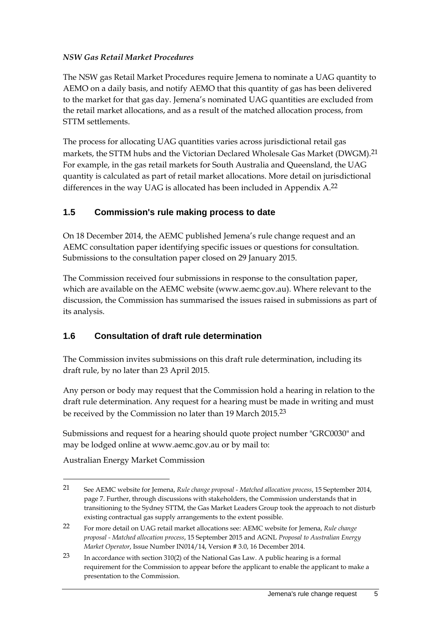#### *NSW Gas Retail Market Procedures*

The NSW gas Retail Market Procedures require Jemena to nominate a UAG quantity to AEMO on a daily basis, and notify AEMO that this quantity of gas has been delivered to the market for that gas day. Jemena's nominated UAG quantities are excluded from the retail market allocations, and as a result of the matched allocation process, from STTM settlements.

The process for allocating UAG quantities varies across jurisdictional retail gas markets, the STTM hubs and the Victorian Declared Wholesale Gas Market (DWGM).21 For example, in the gas retail markets for South Australia and Queensland, the UAG quantity is calculated as part of retail market allocations. More detail on jurisdictional differences in the way UAG is allocated has been included in Appendix A.<sup>22</sup>

### **1.5 Commission's rule making process to date**

On 18 December 2014, the AEMC published Jemena's rule change request and an AEMC consultation paper identifying specific issues or questions for consultation. Submissions to the consultation paper closed on 29 January 2015.

The Commission received four submissions in response to the consultation paper, which are available on the AEMC website (www.aemc.gov.au). Where relevant to the discussion, the Commission has summarised the issues raised in submissions as part of its analysis.

### **1.6 Consultation of draft rule determination**

The Commission invites submissions on this draft rule determination, including its draft rule, by no later than 23 April 2015.

Any person or body may request that the Commission hold a hearing in relation to the draft rule determination. Any request for a hearing must be made in writing and must be received by the Commission no later than 19 March 2015.23

Submissions and request for a hearing should quote project number "GRC0030" and may be lodged online at www.aemc.gov.au or by mail to:

Australian Energy Market Commission

<sup>21</sup> See AEMC website for Jemena, *Rule change proposal - Matched allocation process*, 15 September 2014, page 7. Further, through discussions with stakeholders, the Commission understands that in transitioning to the Sydney STTM, the Gas Market Leaders Group took the approach to not disturb existing contractual gas supply arrangements to the extent possible.

<sup>22</sup> For more detail on UAG retail market allocations see: AEMC website for Jemena, *Rule change proposal - Matched allocation process*, 15 September 2015 and AGNL *Proposal to Australian Energy Market Operator*, Issue Number IN014/14, Version # 3.0, 16 December 2014.

<sup>23</sup> In accordance with section 310(2) of the National Gas Law. A public hearing is a formal requirement for the Commission to appear before the applicant to enable the applicant to make a presentation to the Commission.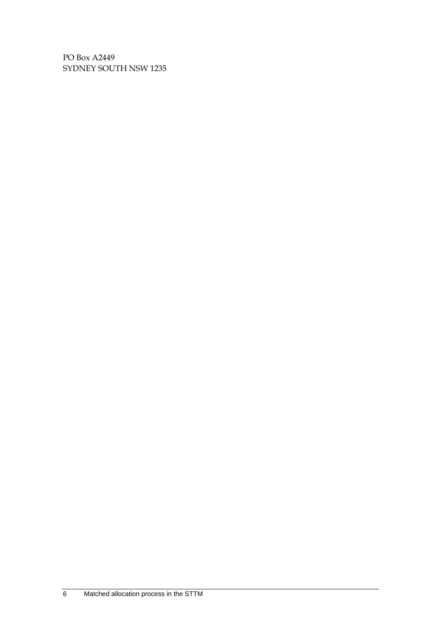PO Box A2449 SYDNEY SOUTH NSW 1235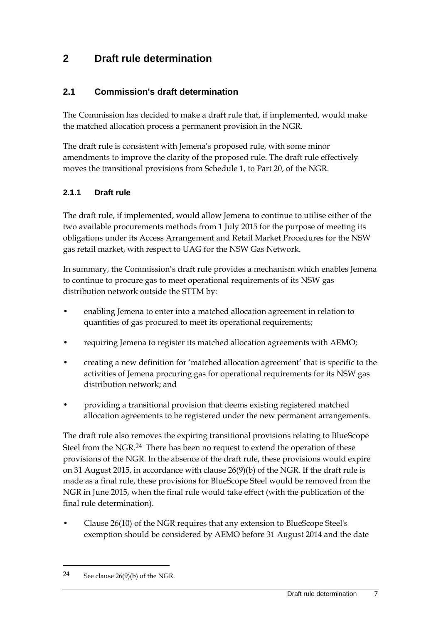## **2 Draft rule determination**

### **2.1 Commission's draft determination**

The Commission has decided to make a draft rule that, if implemented, would make the matched allocation process a permanent provision in the NGR.

The draft rule is consistent with Jemena's proposed rule, with some minor amendments to improve the clarity of the proposed rule. The draft rule effectively moves the transitional provisions from Schedule 1, to Part 20, of the NGR.

### **2.1.1 Draft rule**

The draft rule, if implemented, would allow Jemena to continue to utilise either of the two available procurements methods from 1 July 2015 for the purpose of meeting its obligations under its Access Arrangement and Retail Market Procedures for the NSW gas retail market, with respect to UAG for the NSW Gas Network.

In summary, the Commission's draft rule provides a mechanism which enables Jemena to continue to procure gas to meet operational requirements of its NSW gas distribution network outside the STTM by:

- enabling Jemena to enter into a matched allocation agreement in relation to quantities of gas procured to meet its operational requirements;
- requiring Jemena to register its matched allocation agreements with AEMO;
- creating a new definition for 'matched allocation agreement' that is specific to the activities of Jemena procuring gas for operational requirements for its NSW gas distribution network; and
- providing a transitional provision that deems existing registered matched allocation agreements to be registered under the new permanent arrangements.

The draft rule also removes the expiring transitional provisions relating to BlueScope Steel from the NGR.<sup>24</sup> There has been no request to extend the operation of these provisions of the NGR. In the absence of the draft rule, these provisions would expire on 31 August 2015, in accordance with clause 26(9)(b) of the NGR. If the draft rule is made as a final rule, these provisions for BlueScope Steel would be removed from the NGR in June 2015, when the final rule would take effect (with the publication of the final rule determination).

• Clause 26(10) of the NGR requires that any extension to BlueScope Steel's exemption should be considered by AEMO before 31 August 2014 and the date

<sup>24</sup> See clause  $26(9)(b)$  of the NGR.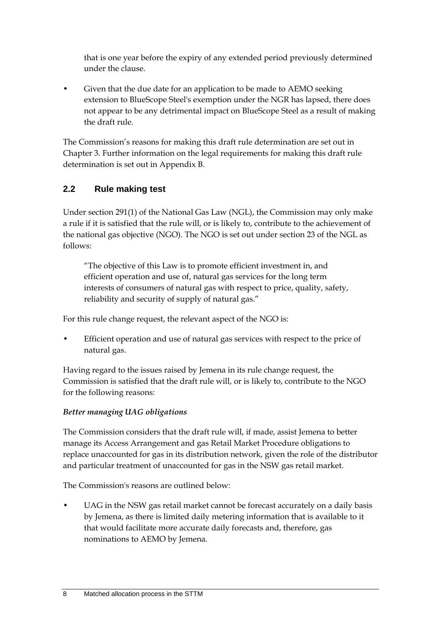that is one year before the expiry of any extended period previously determined under the clause.

• Given that the due date for an application to be made to AEMO seeking extension to BlueScope Steel's exemption under the NGR has lapsed, there does not appear to be any detrimental impact on BlueScope Steel as a result of making the draft rule.

The Commission's reasons for making this draft rule determination are set out in Chapter 3. Further information on the legal requirements for making this draft rule determination is set out in Appendix B.

### **2.2 Rule making test**

Under section 291(1) of the National Gas Law (NGL), the Commission may only make a rule if it is satisfied that the rule will, or is likely to, contribute to the achievement of the national gas objective (NGO). The NGO is set out under section 23 of the NGL as follows:

"The objective of this Law is to promote efficient investment in, and efficient operation and use of, natural gas services for the long term interests of consumers of natural gas with respect to price, quality, safety, reliability and security of supply of natural gas."

For this rule change request, the relevant aspect of the NGO is:

Efficient operation and use of natural gas services with respect to the price of natural gas.

Having regard to the issues raised by Jemena in its rule change request, the Commission is satisfied that the draft rule will, or is likely to, contribute to the NGO for the following reasons:

#### *Better managing UAG obligations*

The Commission considers that the draft rule will, if made, assist Jemena to better manage its Access Arrangement and gas Retail Market Procedure obligations to replace unaccounted for gas in its distribution network, given the role of the distributor and particular treatment of unaccounted for gas in the NSW gas retail market.

The Commission's reasons are outlined below:

UAG in the NSW gas retail market cannot be forecast accurately on a daily basis by Jemena, as there is limited daily metering information that is available to it that would facilitate more accurate daily forecasts and, therefore, gas nominations to AEMO by Jemena.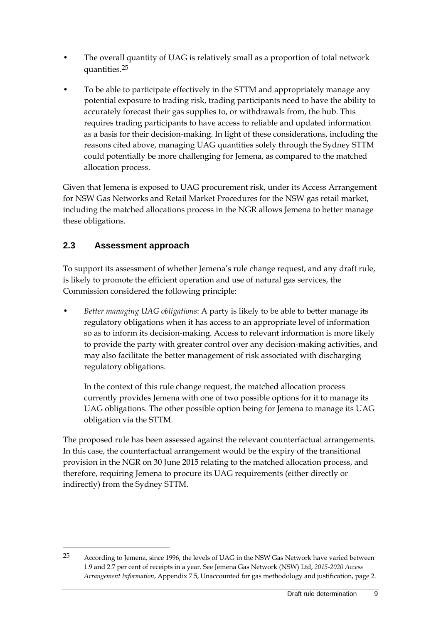- The overall quantity of UAG is relatively small as a proportion of total network quantities.25
- To be able to participate effectively in the STTM and appropriately manage any potential exposure to trading risk, trading participants need to have the ability to accurately forecast their gas supplies to, or withdrawals from, the hub. This requires trading participants to have access to reliable and updated information as a basis for their decision-making. In light of these considerations, including the reasons cited above, managing UAG quantities solely through the Sydney STTM could potentially be more challenging for Jemena, as compared to the matched allocation process.

Given that Jemena is exposed to UAG procurement risk, under its Access Arrangement for NSW Gas Networks and Retail Market Procedures for the NSW gas retail market, including the matched allocations process in the NGR allows Jemena to better manage these obligations.

## **2.3 Assessment approach**

<u>.</u>

To support its assessment of whether Jemena's rule change request, and any draft rule, is likely to promote the efficient operation and use of natural gas services, the Commission considered the following principle:

• *Better managing UAG obligations*: A party is likely to be able to better manage its regulatory obligations when it has access to an appropriate level of information so as to inform its decision-making. Access to relevant information is more likely to provide the party with greater control over any decision-making activities, and may also facilitate the better management of risk associated with discharging regulatory obligations.

In the context of this rule change request, the matched allocation process currently provides Jemena with one of two possible options for it to manage its UAG obligations. The other possible option being for Jemena to manage its UAG obligation via the STTM.

The proposed rule has been assessed against the relevant counterfactual arrangements. In this case, the counterfactual arrangement would be the expiry of the transitional provision in the NGR on 30 June 2015 relating to the matched allocation process, and therefore, requiring Jemena to procure its UAG requirements (either directly or indirectly) from the Sydney STTM.

<sup>25</sup> According to Jemena, since 1996, the levels of UAG in the NSW Gas Network have varied between 1.9 and 2.7 per cent of receipts in a year. See Jemena Gas Network (NSW) Ltd, *2015-2020 Access Arrangement Information*, Appendix 7.5, Unaccounted for gas methodology and justification, page 2.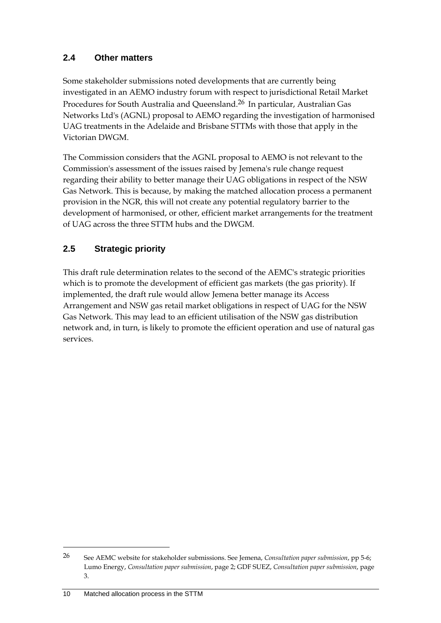### **2.4 Other matters**

Some stakeholder submissions noted developments that are currently being investigated in an AEMO industry forum with respect to jurisdictional Retail Market Procedures for South Australia and Queensland.26 In particular, Australian Gas Networks Ltd's (AGNL) proposal to AEMO regarding the investigation of harmonised UAG treatments in the Adelaide and Brisbane STTMs with those that apply in the Victorian DWGM.

The Commission considers that the AGNL proposal to AEMO is not relevant to the Commission's assessment of the issues raised by Jemena's rule change request regarding their ability to better manage their UAG obligations in respect of the NSW Gas Network. This is because, by making the matched allocation process a permanent provision in the NGR, this will not create any potential regulatory barrier to the development of harmonised, or other, efficient market arrangements for the treatment of UAG across the three STTM hubs and the DWGM.

## **2.5 Strategic priority**

This draft rule determination relates to the second of the AEMC's strategic priorities which is to promote the development of efficient gas markets (the gas priority). If implemented, the draft rule would allow Jemena better manage its Access Arrangement and NSW gas retail market obligations in respect of UAG for the NSW Gas Network. This may lead to an efficient utilisation of the NSW gas distribution network and, in turn, is likely to promote the efficient operation and use of natural gas services.

<u>.</u>

<sup>26</sup> See AEMC website for stakeholder submissions. See Jemena, *Consultation paper submission*, pp 5-6; Lumo Energy, *Consultation paper submission*, page 2; GDF SUEZ, *Consultation paper submission*, page 3.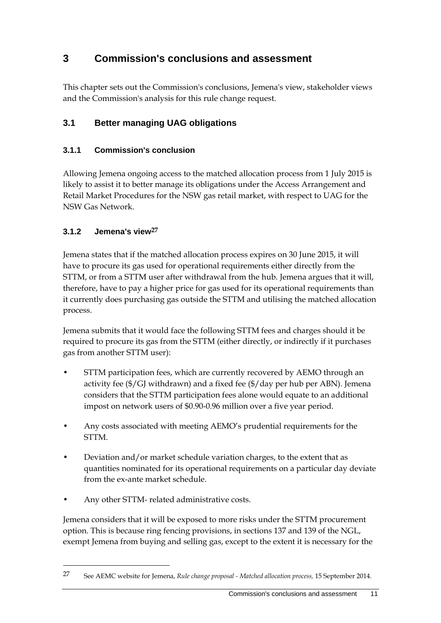## **3 Commission's conclusions and assessment**

This chapter sets out the Commission's conclusions, Jemena's view, stakeholder views and the Commission's analysis for this rule change request.

## **3.1 Better managing UAG obligations**

### **3.1.1 Commission's conclusion**

Allowing Jemena ongoing access to the matched allocation process from 1 July 2015 is likely to assist it to better manage its obligations under the Access Arrangement and Retail Market Procedures for the NSW gas retail market, with respect to UAG for the NSW Gas Network.

### **3.1.2 Jemena's view27**

Jemena states that if the matched allocation process expires on 30 June 2015, it will have to procure its gas used for operational requirements either directly from the STTM, or from a STTM user after withdrawal from the hub. Jemena argues that it will, therefore, have to pay a higher price for gas used for its operational requirements than it currently does purchasing gas outside the STTM and utilising the matched allocation process.

Jemena submits that it would face the following STTM fees and charges should it be required to procure its gas from the STTM (either directly, or indirectly if it purchases gas from another STTM user):

- STTM participation fees, which are currently recovered by AEMO through an activity fee (\$/GJ withdrawn) and a fixed fee (\$/day per hub per ABN). Jemena considers that the STTM participation fees alone would equate to an additional impost on network users of \$0.90-0.96 million over a five year period.
- Any costs associated with meeting AEMO's prudential requirements for the STTM.
- Deviation and/or market schedule variation charges, to the extent that as quantities nominated for its operational requirements on a particular day deviate from the ex-ante market schedule.
- Any other STTM- related administrative costs.

1

Jemena considers that it will be exposed to more risks under the STTM procurement option. This is because ring fencing provisions, in sections 137 and 139 of the NGL, exempt Jemena from buying and selling gas, except to the extent it is necessary for the

<sup>27</sup> See AEMC website for Jemena, *Rule change proposal - Matched allocation process,* 15 September 2014.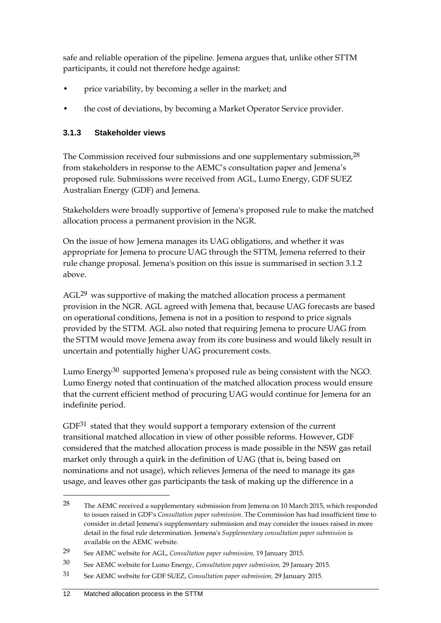safe and reliable operation of the pipeline. Jemena argues that, unlike other STTM participants, it could not therefore hedge against:

- price variability, by becoming a seller in the market; and
- the cost of deviations, by becoming a Market Operator Service provider.

### **3.1.3 Stakeholder views**

The Commission received four submissions and one supplementary submission,28 from stakeholders in response to the AEMC's consultation paper and Jemena's proposed rule. Submissions were received from AGL, Lumo Energy, GDF SUEZ Australian Energy (GDF) and Jemena.

Stakeholders were broadly supportive of Jemena's proposed rule to make the matched allocation process a permanent provision in the NGR.

On the issue of how Jemena manages its UAG obligations, and whether it was appropriate for Jemena to procure UAG through the STTM, Jemena referred to their rule change proposal. Jemena's position on this issue is summarised in section 3.1.2 above.

AGL<sup>29</sup> was supportive of making the matched allocation process a permanent provision in the NGR. AGL agreed with Jemena that, because UAG forecasts are based on operational conditions, Jemena is not in a position to respond to price signals provided by the STTM. AGL also noted that requiring Jemena to procure UAG from the STTM would move Jemena away from its core business and would likely result in uncertain and potentially higher UAG procurement costs.

Lumo Energy<sup>30</sup> supported Jemena's proposed rule as being consistent with the NGO. Lumo Energy noted that continuation of the matched allocation process would ensure that the current efficient method of procuring UAG would continue for Jemena for an indefinite period.

GDF31 stated that they would support a temporary extension of the current transitional matched allocation in view of other possible reforms. However, GDF considered that the matched allocation process is made possible in the NSW gas retail market only through a quirk in the definition of UAG (that is, being based on nominations and not usage), which relieves Jemena of the need to manage its gas usage, and leaves other gas participants the task of making up the difference in a

<u>.</u>

 $28$  The AEMC received a supplementary submission from Jemena on 10 March 2015, which responded to issues raised in GDF's *Consultation paper submission*. The Commission has had insufficient time to consider in detail Jemena's supplementary submission and may consider the issues raised in more detail in the final rule determination. Jemena's *Supplementary consultation paper submission* is available on the AEMC website.

<sup>29</sup> See AEMC website for AGL, *Consultation paper submission,* 19 January 2015.

<sup>30</sup> See AEMC website for Lumo Energy, *Consultation paper submission,* 29 January 2015.

<sup>31</sup> See AEMC website for GDF SUEZ, *Consultation paper submission,* 29 January 2015.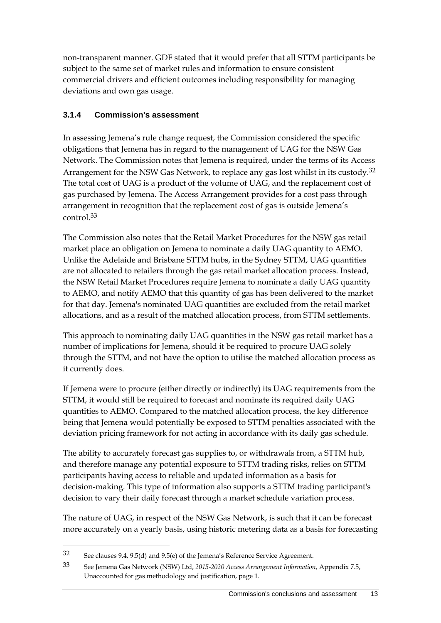non-transparent manner. GDF stated that it would prefer that all STTM participants be subject to the same set of market rules and information to ensure consistent commercial drivers and efficient outcomes including responsibility for managing deviations and own gas usage.

#### **3.1.4 Commission's assessment**

In assessing Jemena's rule change request, the Commission considered the specific obligations that Jemena has in regard to the management of UAG for the NSW Gas Network. The Commission notes that Jemena is required, under the terms of its Access Arrangement for the NSW Gas Network, to replace any gas lost whilst in its custody.<sup>32</sup> The total cost of UAG is a product of the volume of UAG, and the replacement cost of gas purchased by Jemena. The Access Arrangement provides for a cost pass through arrangement in recognition that the replacement cost of gas is outside Jemena's control.33

The Commission also notes that the Retail Market Procedures for the NSW gas retail market place an obligation on Jemena to nominate a daily UAG quantity to AEMO. Unlike the Adelaide and Brisbane STTM hubs, in the Sydney STTM, UAG quantities are not allocated to retailers through the gas retail market allocation process. Instead, the NSW Retail Market Procedures require Jemena to nominate a daily UAG quantity to AEMO, and notify AEMO that this quantity of gas has been delivered to the market for that day. Jemena's nominated UAG quantities are excluded from the retail market allocations, and as a result of the matched allocation process, from STTM settlements.

This approach to nominating daily UAG quantities in the NSW gas retail market has a number of implications for Jemena, should it be required to procure UAG solely through the STTM, and not have the option to utilise the matched allocation process as it currently does.

If Jemena were to procure (either directly or indirectly) its UAG requirements from the STTM, it would still be required to forecast and nominate its required daily UAG quantities to AEMO. Compared to the matched allocation process, the key difference being that Jemena would potentially be exposed to STTM penalties associated with the deviation pricing framework for not acting in accordance with its daily gas schedule.

The ability to accurately forecast gas supplies to, or withdrawals from, a STTM hub, and therefore manage any potential exposure to STTM trading risks, relies on STTM participants having access to reliable and updated information as a basis for decision-making. This type of information also supports a STTM trading participant's decision to vary their daily forecast through a market schedule variation process.

The nature of UAG, in respect of the NSW Gas Network, is such that it can be forecast more accurately on a yearly basis, using historic metering data as a basis for forecasting

<u>.</u>

<sup>32</sup> See clauses 9.4, 9.5(d) and 9.5(e) of the Jemena's Reference Service Agreement.

<sup>33</sup> See Jemena Gas Network (NSW) Ltd, *2015-2020 Access Arrangement Information*, Appendix 7.5, Unaccounted for gas methodology and justification, page 1.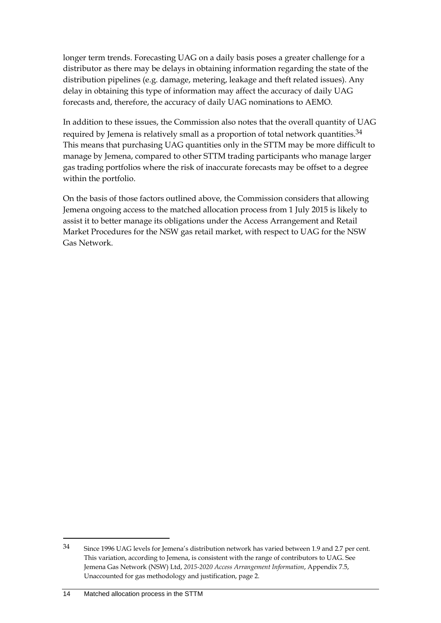longer term trends. Forecasting UAG on a daily basis poses a greater challenge for a distributor as there may be delays in obtaining information regarding the state of the distribution pipelines (e.g. damage, metering, leakage and theft related issues). Any delay in obtaining this type of information may affect the accuracy of daily UAG forecasts and, therefore, the accuracy of daily UAG nominations to AEMO.

In addition to these issues, the Commission also notes that the overall quantity of UAG required by Jemena is relatively small as a proportion of total network quantities.<sup>34</sup> This means that purchasing UAG quantities only in the STTM may be more difficult to manage by Jemena, compared to other STTM trading participants who manage larger gas trading portfolios where the risk of inaccurate forecasts may be offset to a degree within the portfolio.

On the basis of those factors outlined above, the Commission considers that allowing Jemena ongoing access to the matched allocation process from 1 July 2015 is likely to assist it to better manage its obligations under the Access Arrangement and Retail Market Procedures for the NSW gas retail market, with respect to UAG for the NSW Gas Network.

<sup>34</sup> Since 1996 UAG levels for Jemena's distribution network has varied between 1.9 and 2.7 per cent. This variation, according to Jemena, is consistent with the range of contributors to UAG. See Jemena Gas Network (NSW) Ltd, *2015-2020 Access Arrangement Information*, Appendix 7.5, Unaccounted for gas methodology and justification, page 2.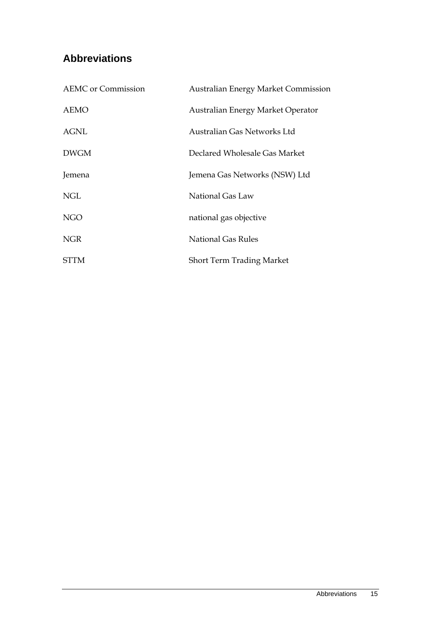## **Abbreviations**

| <b>AEMC</b> or Commission | <b>Australian Energy Market Commission</b> |
|---------------------------|--------------------------------------------|
| AEMO                      | Australian Energy Market Operator          |
| <b>AGNL</b>               | Australian Gas Networks Ltd                |
| <b>DWGM</b>               | Declared Wholesale Gas Market              |
| Jemena                    | Jemena Gas Networks (NSW) Ltd              |
| NGL                       | National Gas Law                           |
| <b>NGO</b>                | national gas objective                     |
| <b>NGR</b>                | <b>National Gas Rules</b>                  |
| <b>STTM</b>               | <b>Short Term Trading Market</b>           |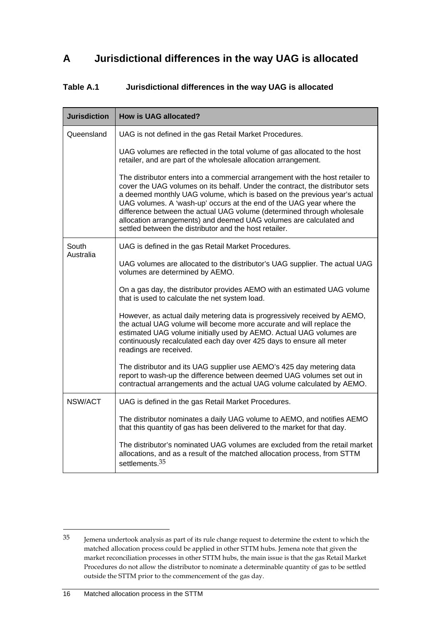## **A Jurisdictional differences in the way UAG is allocated**

#### **Table A.1 Jurisdictional differences in the way UAG is allocated**

| <b>Jurisdiction</b> | How is UAG allocated?                                                                                                                                                                                                                                                                                                                                                                                                                                                                                                          |
|---------------------|--------------------------------------------------------------------------------------------------------------------------------------------------------------------------------------------------------------------------------------------------------------------------------------------------------------------------------------------------------------------------------------------------------------------------------------------------------------------------------------------------------------------------------|
| Queensland          | UAG is not defined in the gas Retail Market Procedures.                                                                                                                                                                                                                                                                                                                                                                                                                                                                        |
|                     | UAG volumes are reflected in the total volume of gas allocated to the host<br>retailer, and are part of the wholesale allocation arrangement.                                                                                                                                                                                                                                                                                                                                                                                  |
|                     | The distributor enters into a commercial arrangement with the host retailer to<br>cover the UAG volumes on its behalf. Under the contract, the distributor sets<br>a deemed monthly UAG volume, which is based on the previous year's actual<br>UAG volumes. A 'wash-up' occurs at the end of the UAG year where the<br>difference between the actual UAG volume (determined through wholesale<br>allocation arrangements) and deemed UAG volumes are calculated and<br>settled between the distributor and the host retailer. |
| South<br>Australia  | UAG is defined in the gas Retail Market Procedures.                                                                                                                                                                                                                                                                                                                                                                                                                                                                            |
|                     | UAG volumes are allocated to the distributor's UAG supplier. The actual UAG<br>volumes are determined by AEMO.                                                                                                                                                                                                                                                                                                                                                                                                                 |
|                     | On a gas day, the distributor provides AEMO with an estimated UAG volume<br>that is used to calculate the net system load.                                                                                                                                                                                                                                                                                                                                                                                                     |
|                     | However, as actual daily metering data is progressively received by AEMO,<br>the actual UAG volume will become more accurate and will replace the<br>estimated UAG volume initially used by AEMO. Actual UAG volumes are<br>continuously recalculated each day over 425 days to ensure all meter<br>readings are received.                                                                                                                                                                                                     |
|                     | The distributor and its UAG supplier use AEMO's 425 day metering data<br>report to wash-up the difference between deemed UAG volumes set out in<br>contractual arrangements and the actual UAG volume calculated by AEMO.                                                                                                                                                                                                                                                                                                      |
| NSW/ACT             | UAG is defined in the gas Retail Market Procedures.                                                                                                                                                                                                                                                                                                                                                                                                                                                                            |
|                     | The distributor nominates a daily UAG volume to AEMO, and notifies AEMO<br>that this quantity of gas has been delivered to the market for that day.                                                                                                                                                                                                                                                                                                                                                                            |
|                     | The distributor's nominated UAG volumes are excluded from the retail market<br>allocations, and as a result of the matched allocation process, from STTM<br>settlements. <sup>35</sup>                                                                                                                                                                                                                                                                                                                                         |

<sup>35</sup> Jemena undertook analysis as part of its rule change request to determine the extent to which the matched allocation process could be applied in other STTM hubs. Jemena note that given the market reconciliation processes in other STTM hubs, the main issue is that the gas Retail Market Procedures do not allow the distributor to nominate a determinable quantity of gas to be settled outside the STTM prior to the commencement of the gas day.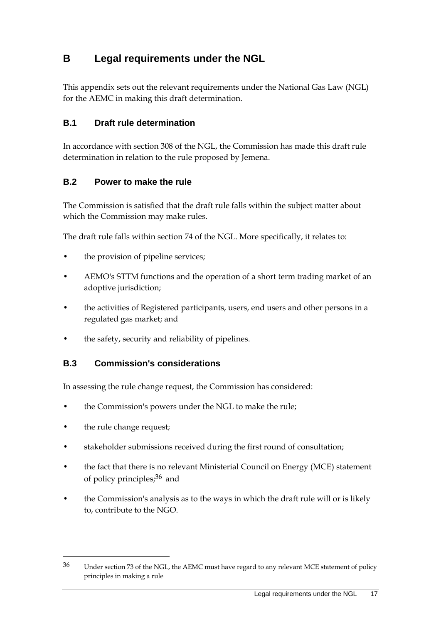## **B Legal requirements under the NGL**

This appendix sets out the relevant requirements under the National Gas Law (NGL) for the AEMC in making this draft determination.

### **B.1 Draft rule determination**

In accordance with section 308 of the NGL, the Commission has made this draft rule determination in relation to the rule proposed by Jemena.

### **B.2 Power to make the rule**

The Commission is satisfied that the draft rule falls within the subject matter about which the Commission may make rules.

The draft rule falls within section 74 of the NGL. More specifically, it relates to:

- the provision of pipeline services;
- AEMO's STTM functions and the operation of a short term trading market of an adoptive jurisdiction;
- the activities of Registered participants, users, end users and other persons in a regulated gas market; and
- the safety, security and reliability of pipelines.

#### **B.3 Commission's considerations**

In assessing the rule change request, the Commission has considered:

- the Commission's powers under the NGL to make the rule;
- the rule change request;

- stakeholder submissions received during the first round of consultation;
- the fact that there is no relevant Ministerial Council on Energy (MCE) statement of policy principles;36 and
- the Commission's analysis as to the ways in which the draft rule will or is likely to, contribute to the NGO.

<sup>36</sup> Under section 73 of the NGL, the AEMC must have regard to any relevant MCE statement of policy principles in making a rule